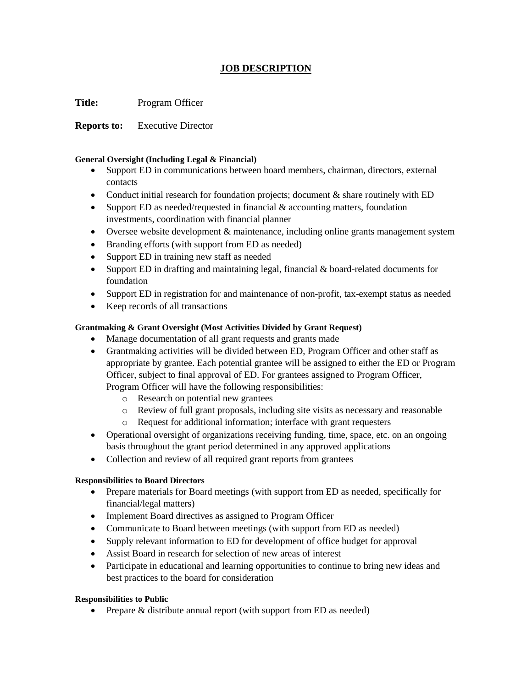# **JOB DESCRIPTION**

**Title:** Program Officer

**Reports to:** Executive Director

### **General Oversight (Including Legal & Financial)**

- Support ED in communications between board members, chairman, directors, external contacts
- Conduct initial research for foundation projects; document & share routinely with ED
- Support ED as needed/requested in financial  $&$  accounting matters, foundation investments, coordination with financial planner
- Oversee website development & maintenance, including online grants management system
- Branding efforts (with support from ED as needed)
- Support ED in training new staff as needed
- Support ED in drafting and maintaining legal, financial & board-related documents for foundation
- Support ED in registration for and maintenance of non-profit, tax-exempt status as needed
- Keep records of all transactions

## **Grantmaking & Grant Oversight (Most Activities Divided by Grant Request)**

- Manage documentation of all grant requests and grants made
- Grantmaking activities will be divided between ED, Program Officer and other staff as appropriate by grantee. Each potential grantee will be assigned to either the ED or Program Officer, subject to final approval of ED. For grantees assigned to Program Officer, Program Officer will have the following responsibilities:
	- o Research on potential new grantees
	- o Review of full grant proposals, including site visits as necessary and reasonable
	- o Request for additional information; interface with grant requesters
- Operational oversight of organizations receiving funding, time, space, etc. on an ongoing basis throughout the grant period determined in any approved applications
- Collection and review of all required grant reports from grantees

## **Responsibilities to Board Directors**

- Prepare materials for Board meetings (with support from ED as needed, specifically for financial/legal matters)
- Implement Board directives as assigned to Program Officer
- Communicate to Board between meetings (with support from ED as needed)
- Supply relevant information to ED for development of office budget for approval
- Assist Board in research for selection of new areas of interest
- Participate in educational and learning opportunities to continue to bring new ideas and best practices to the board for consideration

## **Responsibilities to Public**

• Prepare & distribute annual report (with support from ED as needed)